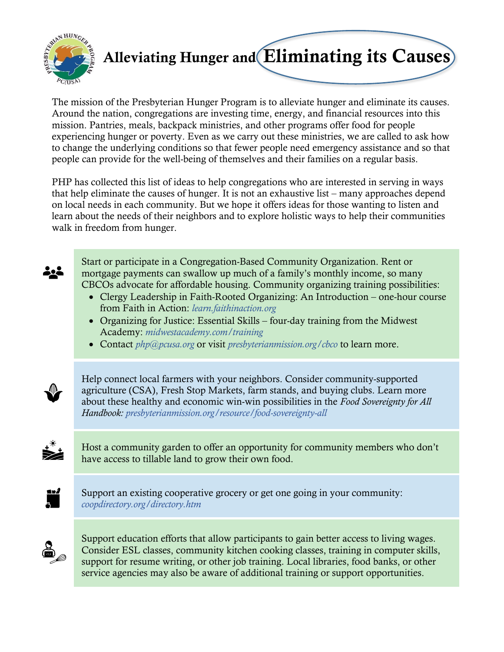

## Alleviating Hunger and Eliminating its Causes

The mission of the Presbyterian Hunger Program is to alleviate hunger and eliminate its causes. Around the nation, congregations are investing time, energy, and financial resources into this mission. Pantries, meals, backpack ministries, and other programs offer food for people experiencing hunger or poverty. Even as we carry out these ministries, we are called to ask how to change the underlying conditions so that fewer people need emergency assistance and so that people can provide for the well-being of themselves and their families on a regular basis.

PHP has collected this list of ideas to help congregations who are interested in serving in ways that help eliminate the causes of hunger. It is not an exhaustive list – many approaches depend on local needs in each community. But we hope it offers ideas for those wanting to listen and learn about the needs of their neighbors and to explore holistic ways to help their communities walk in freedom from hunger.



Start or participate in a Congregation-Based Community Organization. Rent or mortgage payments can swallow up much of a family's monthly income, so many CBCOs advocate for affordable housing. Community organizing training possibilities:

- Clergy Leadership in Faith-Rooted Organizing: An Introduction one-hour course from Faith in Action: *[learn.faithinaction.org](http://learn.faithinaction.org/)*
- Organizing for Justice: Essential Skills four-day training from the Midwest Academy: *[midwestacademy.com/training](http://www.midwestacademy.com/training/)*
- Contact *[php@pcusa.org](mailto:php@pcusa.org)* or visit *[presbyterianmission.org/cbco](http://www.presbyterianmission.org/cbco)* to learn more.



Help connect local farmers with your neighbors. Consider community-supported agriculture (CSA), Fresh Stop Markets, farm stands, and buying clubs. Learn more about these healthy and economic win-win possibilities in the *Food Sovereignty for All Handbook: [presbyterianmission.org/resource/food-sovereignty-all](http://www.presbyterianmission.org/resource/food-sovereignty-all)*



Host a community garden to offer an opportunity for community members who don't have access to tillable land to grow their own food.



Support an existing [cooperative grocery](http://www.cooperativegrocer.coop/) or get one going in your community: *[coopdirectory.org/directory.htm](http://www.coopdirectory.org/directory.htm)*



Support education efforts that allow participants to gain better access to living wages. Consider ESL classes, community kitchen cooking classes, training in computer skills, support for resume writing, or other job training. Local libraries, food banks, or other service agencies may also be aware of additional training or support opportunities.